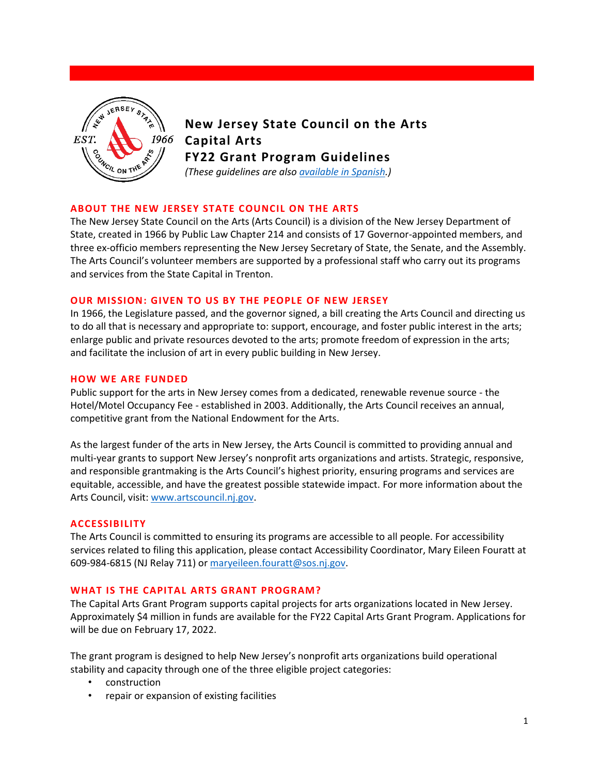

# **New Jersey State Council on the Arts Capital Arts FY22 Grant Program Guidelines**

*(These guidelines are also [available in Spanish.](https://www.state.nj.us/state/njsca/assets/pdf/fy22-capital-arts-guidelines-spanish.pdf))*

# **ABOUT THE NEW JERSEY STATE COUNCIL ON THE ARTS**

The New Jersey State Council on the Arts (Arts Council) is a division of the New Jersey Department of State, created in 1966 by Public Law Chapter 214 and consists of 17 Governor-appointed members, and three ex-officio members representing the New Jersey Secretary of State, the Senate, and the Assembly. The Arts Council's volunteer members are supported by a professional staff who carry out its programs and services from the State Capital in Trenton.

# **OUR MISSION: GIVEN TO US BY THE PEOPLE OF NEW JERSEY**

In 1966, the Legislature passed, and the governor signed, a bill creating the Arts Council and directing us to do all that is necessary and appropriate to: support, encourage, and foster public interest in the arts; enlarge public and private resources devoted to the arts; promote freedom of expression in the arts; and facilitate the inclusion of art in every public building in New Jersey.

# **HOW WE ARE FUNDED**

Public support for the arts in New Jersey comes from a dedicated, renewable revenue source - the Hotel/Motel Occupancy Fee - established in 2003. Additionally, the Arts Council receives an annual, competitive grant from the National Endowment for the Arts.

As the largest funder of the arts in New Jersey, the Arts Council is committed to providing annual and multi-year grants to support New Jersey's nonprofit arts organizations and artists. Strategic, responsive, and responsible grantmaking is the Arts Council's highest priority, ensuring programs and services are equitable, accessible, and have the greatest possible statewide impact. For more information about the Arts Council, visit: [www.artscouncil.nj.gov.](https://www.nj.gov/state/njsca/index.html)

# **ACCESSIBILITY**

The Arts Council is committed to ensuring its programs are accessible to all people. For accessibility services related to filing this application, please contact Accessibility Coordinator, Mary Eileen Fouratt at 609-984-6815 (NJ Relay 711) or [maryeileen.fouratt@sos.nj.gov.](mailto:maryeileen.fouratt@sos.nj.gov)

# **WHAT IS THE CAPITAL ARTS GRANT PROGRAM?**

The Capital Arts Grant Program supports capital projects for arts organizations located in New Jersey. Approximately \$4 million in funds are available for the FY22 Capital Arts Grant Program. Applications for will be due on February 17, 2022.

The grant program is designed to help New Jersey's nonprofit arts organizations build operational stability and capacity through one of the three eligible project categories:

- construction
- repair or expansion of existing facilities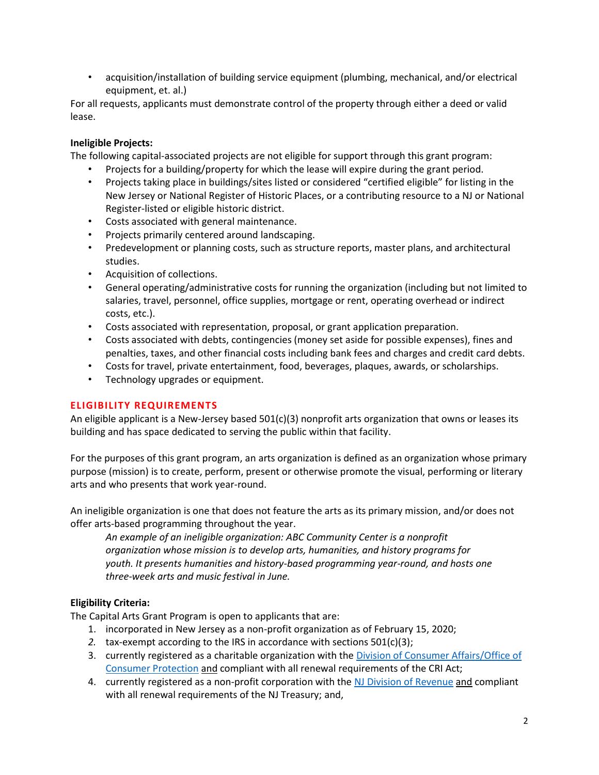• acquisition/installation of building service equipment (plumbing, mechanical, and/or electrical equipment, et. al.)

For all requests, applicants must demonstrate control of the property through either a deed or valid lease.

# **Ineligible Projects:**

The following capital-associated projects are not eligible for support through this grant program:

- Projects for a building/property for which the lease will expire during the grant period.
- Projects taking place in buildings/sites listed or considered "certified eligible" for listing in the New Jersey or National Register of Historic Places, or a contributing resource to a NJ or National Register-listed or eligible historic district.
- Costs associated with general maintenance.
- Projects primarily centered around landscaping.
- Predevelopment or planning costs, such as structure reports, master plans, and architectural studies.
- Acquisition of collections.
- General operating/administrative costs for running the organization (including but not limited to salaries, travel, personnel, office supplies, mortgage or rent, operating overhead or indirect costs, etc.).
- Costs associated with representation, proposal, or grant application preparation.
- Costs associated with debts, contingencies (money set aside for possible expenses), fines and penalties, taxes, and other financial costs including bank fees and charges and credit card debts.
- Costs for travel, private entertainment, food, beverages, plaques, awards, or scholarships.
- Technology upgrades or equipment.

# **ELIGIBILITY REQUIREMENTS**

An eligible applicant is a New-Jersey based 501(c)(3) nonprofit arts organization that owns or leases its building and has space dedicated to serving the public within that facility.

For the purposes of this grant program, an arts organization is defined as an organization whose primary purpose (mission) is to create, perform, present or otherwise promote the visual, performing or literary arts and who presents that work year-round.

An ineligible organization is one that does not feature the arts as its primary mission, and/or does not offer arts-based programming throughout the year.

*An example of an ineligible organization: ABC Community Center is a nonprofit organization whose mission is to develop arts, humanities, and history programs for youth. It presents humanities and history-based programming year-round, and hosts one three-week arts and music festival in June.*

# **Eligibility Criteria:**

The Capital Arts Grant Program is open to applicants that are:

- 1. incorporated in New Jersey as a non-profit organization as of February 15, 2020;
- *2.* tax-exempt according to the IRS in accordance with sections 501(c)(3);
- 3. currently registered as a charitable organization with the Division of Consumer Affairs/Office of [Consumer Protection](https://www.njconsumeraffairs.gov/charities) and compliant with all renewal requirements of the CRI Act;
- 4. currently registered as a non-profit corporation with the [NJ Division of Revenue](https://www1.state.nj.us/TYTR_BRC/jsp/BRCLoginJsp.jsp) and compliant with all renewal requirements of the NJ Treasury; and,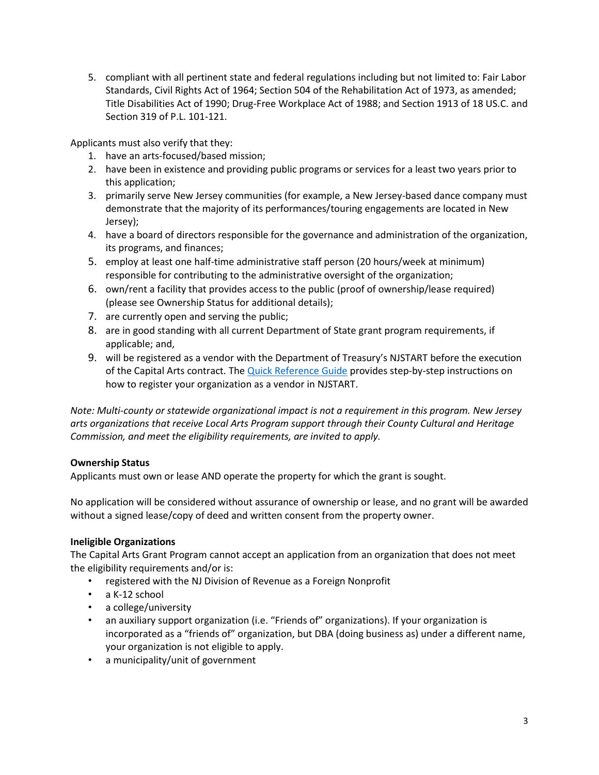5. compliant with all pertinent state and federal regulations including but not limited to: Fair Labor Standards, Civil Rights Act of 1964; Section 504 of the Rehabilitation Act of 1973, as amended; Title Disabilities Act of 1990; Drug-Free Workplace Act of 1988; and Section 1913 of 18 US.C. and Section 319 of P.L. 101-121.

Applicants must also verify that they:

- 1. have an arts-focused/based mission;
- 2. have been in existence and providing public programs or services for a least two years prior to this application;
- 3. primarily serve New Jersey communities (for example, a New Jersey-based dance company must demonstrate that the majority of its performances/touring engagements are located in New Jersey);
- 4. have a board of directors responsible for the governance and administration of the organization, its programs, and finances;
- 5. employ at least one half-time administrative staff person (20 hours/week at minimum) responsible for contributing to the administrative oversight of the organization;
- 6. own/rent a facility that provides access to the public (proof of ownership/lease required) (please see Ownership Status for additional details);
- 7. are currently open and serving the public;
- 8. are in good standing with all current Department of State grant program requirements, if applicable; and,
- 9. will be registered as a vendor with the Department of Treasury's NJSTART before the execution of the Capital Arts contract. The [Quick Reference Guide](https://www.state.nj.us/treasury/purchase/njstart/pdf/Vendor-Registration.pdf) provides step-by-step instructions on how to register your organization as a vendor in NJSTART.

*Note: Multi-county or statewide organizational impact is not a requirement in this program. New Jersey arts organizations that receive Local Arts Program support through their County Cultural and Heritage Commission, and meet the eligibility requirements, are invited to apply.*

# **Ownership Status**

Applicants must own or lease AND operate the property for which the grant is sought.

No application will be considered without assurance of ownership or lease, and no grant will be awarded without a signed lease/copy of deed and written consent from the property owner.

# **Ineligible Organizations**

The Capital Arts Grant Program cannot accept an application from an organization that does not meet the eligibility requirements and/or is:

- registered with the NJ Division of Revenue as a Foreign Nonprofit
- a K-12 school
- a college/university
- an auxiliary support organization (i.e. "Friends of" organizations). If your organization is incorporated as a "friends of" organization, but DBA (doing business as) under a different name, your organization is not eligible to apply.
- a municipality/unit of government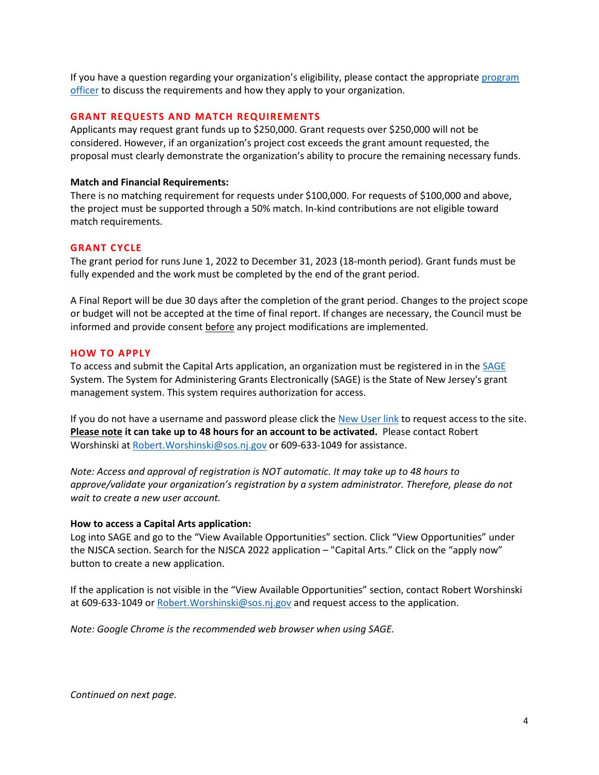If you have a question regarding your organization's eligibility, please contact the appropriate program [officer](https://nj.gov/state/njsca/dos_njsca_about.html) to discuss the requirements and how they apply to your organization.

#### **GRANT REQUESTS AND MATCH REQUIREMENTS**

Applicants may request grant funds up to \$250,000. Grant requests over \$250,000 will not be considered. However, if an organization's project cost exceeds the grant amount requested, the proposal must clearly demonstrate the organization's ability to procure the remaining necessary funds.

#### **Match and Financial Requirements:**

There is no matching requirement for requests under \$100,000. For requests of \$100,000 and above, the project must be supported through a 50% match. In-kind contributions are not eligible toward match requirements.

#### **GRANT CYCLE**

The grant period for runs June 1, 2022 to December 31, 2023 (18-month period). Grant funds must be fully expended and the work must be completed by the end of the grant period.

A Final Report will be due 30 days after the completion of the grant period. Changes to the project scope or budget will not be accepted at the time of final report. If changes are necessary, the Council must be informed and provide consent before any project modifications are implemented.

#### **HOW TO APPLY**

To access and submit the Capital Arts application, an organization must be registered in in the [SAGE](https://njsage.intelligrants.com/Login2.aspx?APPTHEME=NJSAGE) System. The System for Administering Grants Electronically (SAGE) is the State of New Jersey's grant management system. This system requires authorization for access.

If you do not have a username and password please click th[e New User link](https://njsage.intelligrants.com/Module/NJSAGE/Registration2.aspx) to request access to the site. **Please note it can take up to 48 hours for an account to be activated.** Please contact Robert Worshinski at Robert. Worshinski@sos.nj.gov or 609-633-1049 for assistance.

*Note: Access and approval of registration is NOT automatic. It may take up to 48 hours to approve/validate your organization's registration by a system administrator. Therefore, please do not wait to create a new user account.* 

#### **How to access a Capital Arts application:**

Log into SAGE and go to the "View Available Opportunities" section. Click "View Opportunities" under the NJSCA section. Search for the NJSCA 2022 application – "Capital Arts." Click on the "apply now" button to create a new application.

If the application is not visible in the "View Available Opportunities" section, contact Robert Worshinski at 609-633-1049 o[r Robert.Worshinski@sos.nj.gov](mailto:robert.worshinski@sos.nj.gov) and request access to the application.

*Note: Google Chrome is the recommended web browser when using SAGE.* 

*Continued on next page.*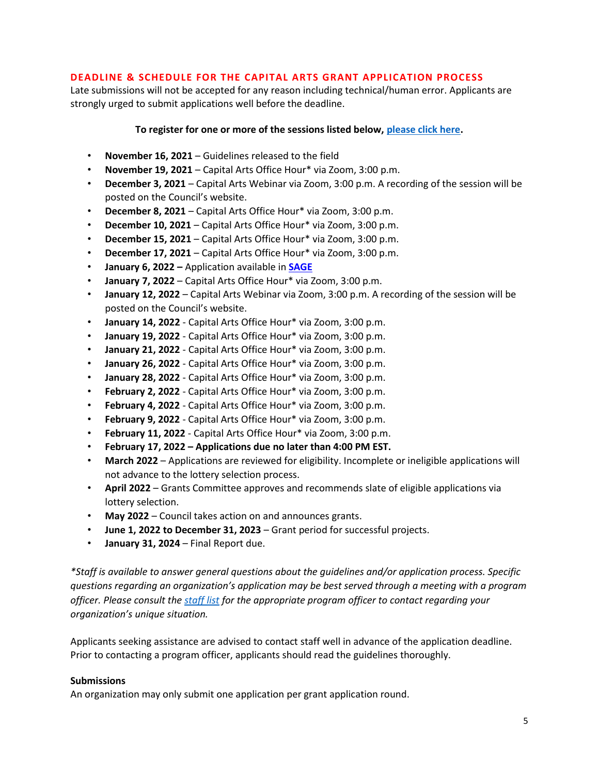# **DEADLINE & SCHEDULE FOR THE CAPITAL ARTS GRANT APPLICATION PROCESS**

Late submissions will not be accepted for any reason including technical/human error. Applicants are strongly urged to submit applications well before the deadline.

# **To register for one or more of the sessions listed below, [please click here.](https://www.state.nj.us/state/njsca/assets/pdf/fy22-capital-arts-technical-assistance-schedule.pdf)**

- **November 16, 2021** Guidelines released to the field
- **November 19, 2021**  Capital Arts Office Hour\* via Zoom, 3:00 p.m.
- **December 3, 2021**  Capital Arts Webinar via Zoom, 3:00 p.m. A recording of the session will be posted on the Council's website.
- **December 8, 2021**  Capital Arts Office Hour\* via Zoom, 3:00 p.m.
- **December 10, 2021**  Capital Arts Office Hour\* via Zoom, 3:00 p.m.
- **December 15, 2021**  Capital Arts Office Hour\* via Zoom, 3:00 p.m.
- **December 17, 2021**  Capital Arts Office Hour\* via Zoom, 3:00 p.m.
- **January 6, 2022 –** Application available in **[SAGE](https://njsage.intelligrants.com/Login2.aspx?APPTHEME=NJSAGE)**
- **January 7, 2022** Capital Arts Office Hour\* via Zoom, 3:00 p.m.
- **January 12, 2022** Capital Arts Webinar via Zoom, 3:00 p.m. A recording of the session will be posted on the Council's website.
- **January 14, 2022** Capital Arts Office Hour\* via Zoom, 3:00 p.m.
- **January 19, 2022** Capital Arts Office Hour\* via Zoom, 3:00 p.m.
- **January 21, 2022** Capital Arts Office Hour\* via Zoom, 3:00 p.m.
- **January 26, 2022** Capital Arts Office Hour\* via Zoom, 3:00 p.m.
- **January 28, 2022**  Capital Arts Office Hour\* via Zoom, 3:00 p.m.
- **February 2, 2022** Capital Arts Office Hour\* via Zoom, 3:00 p.m.
- **February 4, 2022** Capital Arts Office Hour\* via Zoom, 3:00 p.m.
- **February 9, 2022** Capital Arts Office Hour\* via Zoom, 3:00 p.m.
- **February 11, 2022** Capital Arts Office Hour\* via Zoom, 3:00 p.m.
- **February 17, 2022 – Applications due no later than 4:00 PM EST.**
- **March 2022**  Applications are reviewed for eligibility. Incomplete or ineligible applications will not advance to the lottery selection process.
- **April 2022** Grants Committee approves and recommends slate of eligible applications via lottery selection.
- **May 2022** Council takes action on and announces grants.
- **June 1, 2022 to December 31, 2023** Grant period for successful projects.
- **January 31, 2024** Final Report due.

*\*Staff is available to answer general questions about the guidelines and/or application process. Specific questions regarding an organization's application may be best served through a meeting with a program officer. Please consult th[e staff list](https://nj.gov/state/njsca/dos_njsca_about.html) for the appropriate program officer to contact regarding your organization's unique situation.*

Applicants seeking assistance are advised to contact staff well in advance of the application deadline. Prior to contacting a program officer, applicants should read the guidelines thoroughly.

# **Submissions**

An organization may only submit one application per grant application round.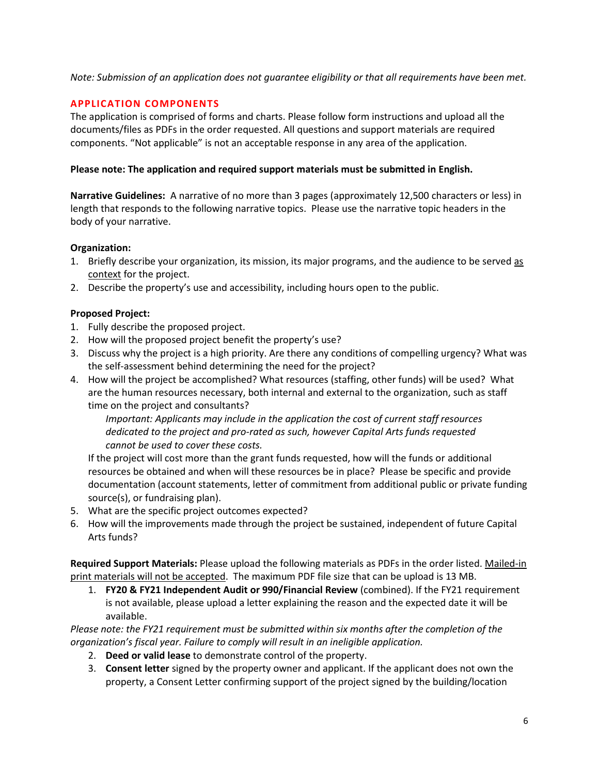# *Note: Submission of an application does not guarantee eligibility or that all requirements have been met.*

# **APPLICATION COMPONENTS**

The application is comprised of forms and charts. Please follow form instructions and upload all the documents/files as PDFs in the order requested. All questions and support materials are required components. "Not applicable" is not an acceptable response in any area of the application.

# **Please note: The application and required support materials must be submitted in English.**

**Narrative Guidelines:** A narrative of no more than 3 pages (approximately 12,500 characters or less) in length that responds to the following narrative topics. Please use the narrative topic headers in the body of your narrative.

# **Organization:**

- 1. Briefly describe your organization, its mission, its major programs, and the audience to be served as context for the project.
- 2. Describe the property's use and accessibility, including hours open to the public.

# **Proposed Project:**

- 1. Fully describe the proposed project.
- 2. How will the proposed project benefit the property's use?
- 3. Discuss why the project is a high priority. Are there any conditions of compelling urgency? What was the self-assessment behind determining the need for the project?
- 4. How will the project be accomplished? What resources (staffing, other funds) will be used? What are the human resources necessary, both internal and external to the organization, such as staff time on the project and consultants?

*Important: Applicants may include in the application the cost of current staff resources dedicated to the project and pro-rated as such, however Capital Arts funds requested cannot be used to cover these costs.* 

If the project will cost more than the grant funds requested, how will the funds or additional resources be obtained and when will these resources be in place? Please be specific and provide documentation (account statements, letter of commitment from additional public or private funding source(s), or fundraising plan).

- 5. What are the specific project outcomes expected?
- 6. How will the improvements made through the project be sustained, independent of future Capital Arts funds?

**Required Support Materials:** Please upload the following materials as PDFs in the order listed. Mailed-in print materials will not be accepted. The maximum PDF file size that can be upload is 13 MB.

1. **FY20 & FY21 Independent Audit or 990/Financial Review** (combined). If the FY21 requirement is not available, please upload a letter explaining the reason and the expected date it will be available.

*Please note: the FY21 requirement must be submitted within six months after the completion of the organization's fiscal year. Failure to comply will result in an ineligible application.*

- 2. **Deed or valid lease** to demonstrate control of the property.
- 3. **Consent letter** signed by the property owner and applicant. If the applicant does not own the property, a Consent Letter confirming support of the project signed by the building/location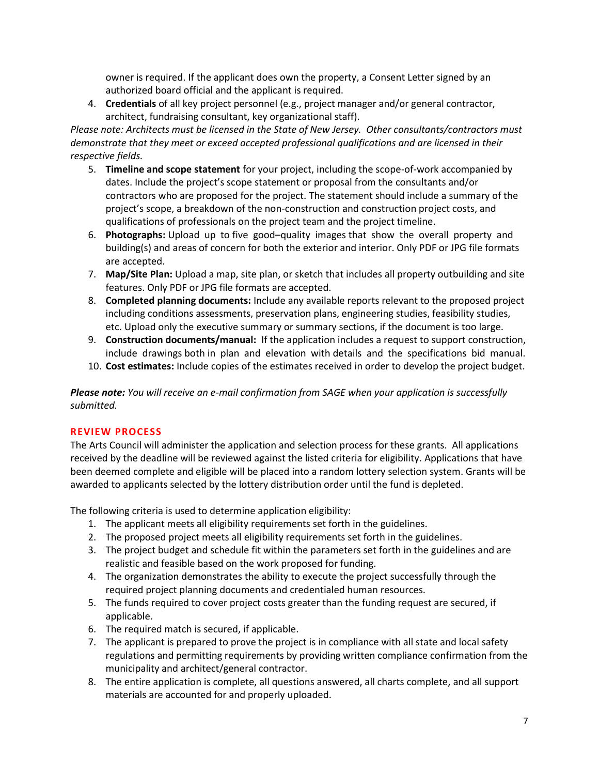owner is required. If the applicant does own the property, a Consent Letter signed by an authorized board official and the applicant is required.

4. **Credentials** of all key project personnel (e.g., project manager and/or general contractor, architect, fundraising consultant, key organizational staff).

*Please note: Architects must be licensed in the State of New Jersey. Other consultants/contractors must demonstrate that they meet or exceed accepted professional qualifications and are licensed in their respective fields.* 

- 5. **Timeline and scope statement** for your project, including the scope-of-work accompanied by dates. Include the project's scope statement or proposal from the consultants and/or contractors who are proposed for the project. The statement should include a summary of the project's scope, a breakdown of the non-construction and construction project costs, and qualifications of professionals on the project team and the project timeline.
- 6. **Photographs:** Upload up to five good–quality images that show the overall property and building(s) and areas of concern for both the exterior and interior. Only PDF or JPG file formats are accepted.
- 7. **Map/Site Plan:** Upload a map, site plan, or sketch that includes all property outbuilding and site features. Only PDF or JPG file formats are accepted.
- 8. **Completed planning documents:** Include any available reports relevant to the proposed project including conditions assessments, preservation plans, engineering studies, feasibility studies, etc. Upload only the executive summary or summary sections, if the document is too large.
- 9. **Construction documents/manual:** If the application includes a request to support construction, include drawings both in plan and elevation with details and the specifications bid manual.
- 10. **Cost estimates:** Include copies of the estimates received in order to develop the project budget.

*Please note: You will receive an e-mail confirmation from SAGE when your application is successfully submitted.* 

# **REVIEW PROCESS**

The Arts Council will administer the application and selection process for these grants. All applications received by the deadline will be reviewed against the listed criteria for eligibility. Applications that have been deemed complete and eligible will be placed into a random lottery selection system. Grants will be awarded to applicants selected by the lottery distribution order until the fund is depleted.

The following criteria is used to determine application eligibility:

- 1. The applicant meets all eligibility requirements set forth in the guidelines.
- 2. The proposed project meets all eligibility requirements set forth in the guidelines.
- 3. The project budget and schedule fit within the parameters set forth in the guidelines and are realistic and feasible based on the work proposed for funding.
- 4. The organization demonstrates the ability to execute the project successfully through the required project planning documents and credentialed human resources.
- 5. The funds required to cover project costs greater than the funding request are secured, if applicable.
- 6. The required match is secured, if applicable.
- 7. The applicant is prepared to prove the project is in compliance with all state and local safety regulations and permitting requirements by providing written compliance confirmation from the municipality and architect/general contractor.
- 8. The entire application is complete, all questions answered, all charts complete, and all support materials are accounted for and properly uploaded.